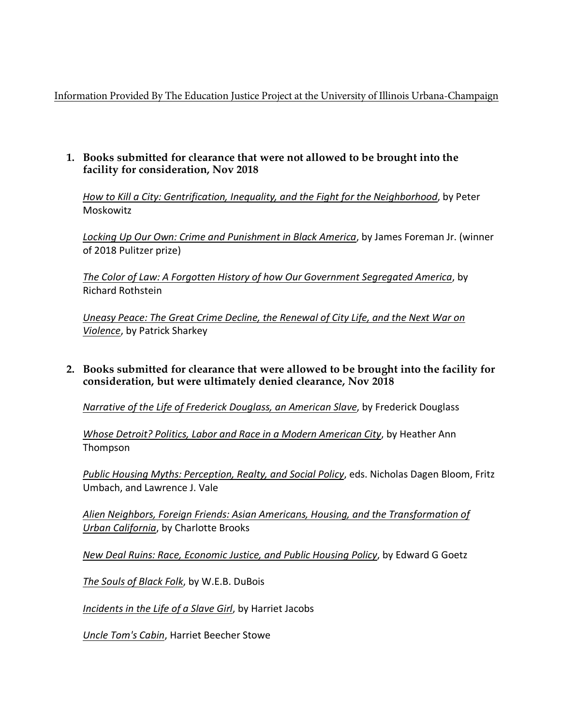Information Provided By The Education Justice Project at the University of Illinois Urbana-Champaign

### **1. Books submitted for clearance that were not allowed to be brought into the facility for consideration, Nov 2018**

*How to Kill a City: Gentrification, Inequality, and the Fight for the Neighborhood*, by Peter Moskowitz

*Locking Up Our Own: Crime and Punishment in Black America*, by James Foreman Jr. (winner of 2018 Pulitzer prize)

*The Color of Law: A Forgotten History of how Our Government Segregated America*, by Richard Rothstein

*Uneasy Peace: The Great Crime Decline, the Renewal of City Life, and the Next War on Violence*, by Patrick Sharkey

**2. Books submitted for clearance that were allowed to be brought into the facility for consideration, but were ultimately denied clearance, Nov 2018**

*Narrative of the Life of Frederick Douglass, an American Slave*, by Frederick Douglass

*Whose Detroit? Politics, Labor and Race in a Modern American City*, by Heather Ann Thompson

*Public Housing Myths: Perception, Realty, and Social Policy*, eds. Nicholas Dagen Bloom, Fritz Umbach, and Lawrence J. Vale

*Alien Neighbors, Foreign Friends: Asian Americans, Housing, and the Transformation of Urban California*, by Charlotte Brooks

*New Deal Ruins: Race, Economic Justice, and Public Housing Policy*, by Edward G Goetz

*The Souls of Black Folk*, by W.E.B. DuBois

*Incidents in the Life of a Slave Girl*, by Harriet Jacobs

*Uncle Tom's Cabin*, Harriet Beecher Stowe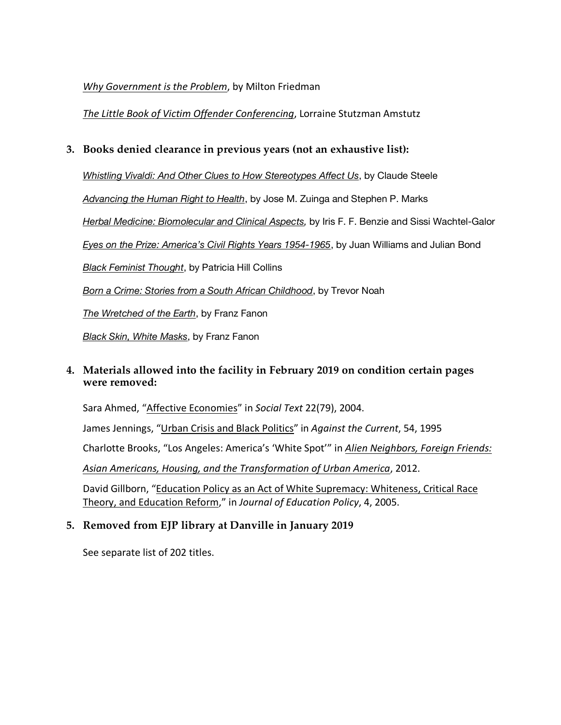### *Why Government is the Problem*, by Milton Friedman

*The Little Book of Victim Offender Conferencing*, Lorraine Stutzman Amstutz

# **3. Books denied clearance in previous years (not an exhaustive list):**

*Whistling Vivaldi: And Other Clues to How Stereotypes Affect Us*, by Claude Steele

*Advancing the Human Right to Health*, by Jose M. Zuinga and Stephen P. Marks

*Herbal Medicine: Biomolecular and Clinical Aspects,* by Iris F. F. Benzie and Sissi Wachtel-Galor

*Eyes on the Prize: America's Civil Rights Years 1954-1965*, by Juan Williams and Julian Bond

*Black Feminist Thought*, by Patricia Hill Collins

*Born a Crime: Stories from a South African Childhood*, by Trevor Noah

*The Wretched of the Earth*, by Franz Fanon

*Black Skin, White Masks*, by Franz Fanon

# **4. Materials allowed into the facility in February 2019 on condition certain pages were removed:**

Sara Ahmed, "Affective Economies" in *Social Text* 22(79), 2004.

James Jennings, "Urban Crisis and Black Politics" in *Against the Current*, 54, 1995

Charlotte Brooks, "Los Angeles: America's 'White Spot'" in *Alien Neighbors, Foreign Friends:*

*Asian Americans, Housing, and the Transformation of Urban America*, 2012.

David Gillborn, "Education Policy as an Act of White Supremacy: Whiteness, Critical Race Theory, and Education Reform," in *Journal of Education Policy*, 4, 2005.

# **5. Removed from EJP library at Danville in January 2019**

See separate list of 202 titles.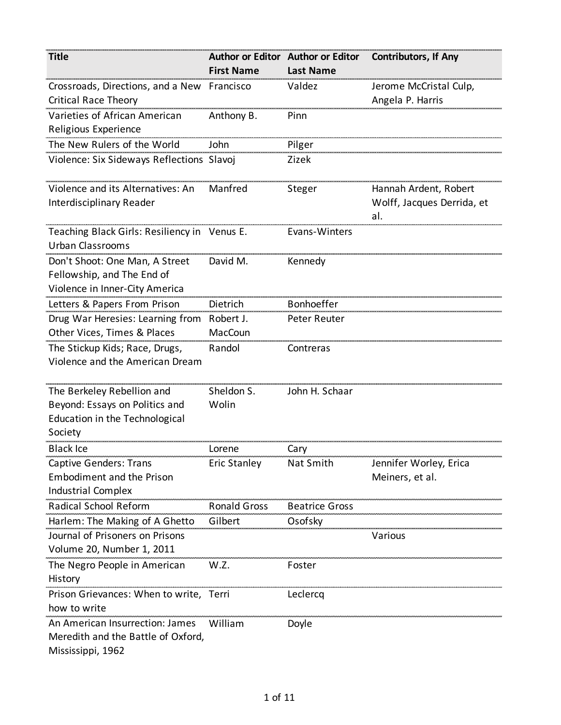| <b>Title</b>                                 |                     | Author or Editor Author or Editor | <b>Contributors, If Any</b>       |
|----------------------------------------------|---------------------|-----------------------------------|-----------------------------------|
|                                              | <b>First Name</b>   | <b>Last Name</b>                  |                                   |
| Crossroads, Directions, and a New            | Francisco           | Valdez                            | Jerome McCristal Culp,            |
| <b>Critical Race Theory</b>                  |                     |                                   | Angela P. Harris                  |
| Varieties of African American                | Anthony B.          | Pinn                              |                                   |
| Religious Experience                         |                     |                                   |                                   |
| The New Rulers of the World                  | John                | Pilger                            |                                   |
| Violence: Six Sideways Reflections Slavoj    |                     | Zizek                             |                                   |
| Violence and its Alternatives: An            | Manfred             | Steger                            | Hannah Ardent, Robert             |
| Interdisciplinary Reader                     |                     |                                   | Wolff, Jacques Derrida, et<br>al. |
| Teaching Black Girls: Resiliency in Venus E. |                     | Evans-Winters                     |                                   |
| <b>Urban Classrooms</b>                      |                     |                                   |                                   |
| Don't Shoot: One Man, A Street               | David M.            | Kennedy                           |                                   |
| Fellowship, and The End of                   |                     |                                   |                                   |
| Violence in Inner-City America               |                     |                                   |                                   |
| Letters & Papers From Prison                 | Dietrich            | Bonhoeffer                        |                                   |
| Drug War Heresies: Learning from             | Robert J.           | Peter Reuter                      |                                   |
| Other Vices, Times & Places                  | MacCoun             |                                   |                                   |
| The Stickup Kids; Race, Drugs,               | Randol              | Contreras                         |                                   |
| Violence and the American Dream              |                     |                                   |                                   |
| The Berkeley Rebellion and                   | Sheldon S.          | John H. Schaar                    |                                   |
| Beyond: Essays on Politics and               | Wolin               |                                   |                                   |
| Education in the Technological               |                     |                                   |                                   |
| Society                                      |                     |                                   |                                   |
| Black Ice                                    | Lorene              | Cary                              |                                   |
| <b>Captive Genders: Trans</b>                | <b>Eric Stanley</b> | Nat Smith                         | Jennifer Worley, Erica            |
| <b>Embodiment and the Prison</b>             |                     |                                   | Meiners, et al.                   |
| <b>Industrial Complex</b>                    |                     |                                   |                                   |
| Radical School Reform                        | <b>Ronald Gross</b> | <b>Beatrice Gross</b>             |                                   |
| Harlem: The Making of A Ghetto               | Gilbert             | Osofsky                           |                                   |
| Journal of Prisoners on Prisons              |                     |                                   | Various                           |
| Volume 20, Number 1, 2011                    |                     |                                   |                                   |
| The Negro People in American                 | W.Z.                | Foster                            |                                   |
| History                                      |                     |                                   |                                   |
| Prison Grievances: When to write, Terri      |                     | Leclercq                          |                                   |
| how to write                                 |                     |                                   |                                   |
| An American Insurrection: James              | William             | Doyle                             |                                   |
| Meredith and the Battle of Oxford,           |                     |                                   |                                   |
| Mississippi, 1962                            |                     |                                   |                                   |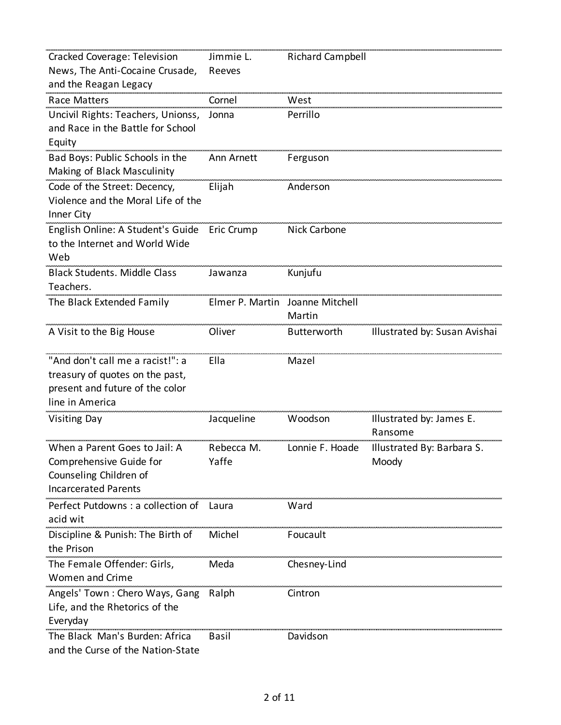| Cracked Coverage: Television        | Jimmie L.       | <b>Richard Campbell</b> |                               |
|-------------------------------------|-----------------|-------------------------|-------------------------------|
| News, The Anti-Cocaine Crusade,     | Reeves          |                         |                               |
| and the Reagan Legacy               |                 |                         |                               |
| <b>Race Matters</b>                 | Cornel          | West                    |                               |
| Uncivil Rights: Teachers, Unionss,  | Jonna           | Perrillo                |                               |
| and Race in the Battle for School   |                 |                         |                               |
| Equity                              |                 |                         |                               |
| Bad Boys: Public Schools in the     | Ann Arnett      | Ferguson                |                               |
| Making of Black Masculinity         |                 |                         |                               |
| Code of the Street: Decency,        | Elijah          | Anderson                |                               |
| Violence and the Moral Life of the  |                 |                         |                               |
| Inner City                          |                 |                         |                               |
| English Online: A Student's Guide   | Eric Crump      | <b>Nick Carbone</b>     |                               |
| to the Internet and World Wide      |                 |                         |                               |
| Web                                 |                 |                         |                               |
| <b>Black Students. Middle Class</b> | Jawanza         | Kunjufu                 |                               |
| Teachers.                           |                 |                         |                               |
| The Black Extended Family           | Elmer P. Martin | Joanne Mitchell         |                               |
|                                     |                 | Martin                  |                               |
| A Visit to the Big House            | Oliver          | Butterworth             | Illustrated by: Susan Avishai |
|                                     |                 |                         |                               |
| "And don't call me a racist!": a    | Ella            | Mazel                   |                               |
| treasury of quotes on the past,     |                 |                         |                               |
| present and future of the color     |                 |                         |                               |
| line in America                     |                 |                         |                               |
| <b>Visiting Day</b>                 | Jacqueline      | Woodson                 | Illustrated by: James E.      |
|                                     |                 |                         | Ransome                       |
| When a Parent Goes to Jail: A       | Rebecca M.      | Lonnie F. Hoade         | Illustrated By: Barbara S.    |
| Comprehensive Guide for             | Yaffe           |                         | Moody                         |
| Counseling Children of              |                 |                         |                               |
| <b>Incarcerated Parents</b>         |                 |                         |                               |
| Perfect Putdowns : a collection of  | Laura           | Ward                    |                               |
| acid wit                            |                 |                         |                               |
| Discipline & Punish: The Birth of   | Michel          | Foucault                |                               |
| the Prison                          |                 |                         |                               |
| The Female Offender: Girls,         | Meda            | Chesney-Lind            |                               |
| <b>Women and Crime</b>              |                 |                         |                               |
| Angels' Town: Chero Ways, Gang      | Ralph           | Cintron                 |                               |
| Life, and the Rhetorics of the      |                 |                         |                               |
| Everyday                            |                 |                         |                               |
|                                     |                 |                         |                               |
| The Black Man's Burden: Africa      | <b>Basil</b>    | Davidson                |                               |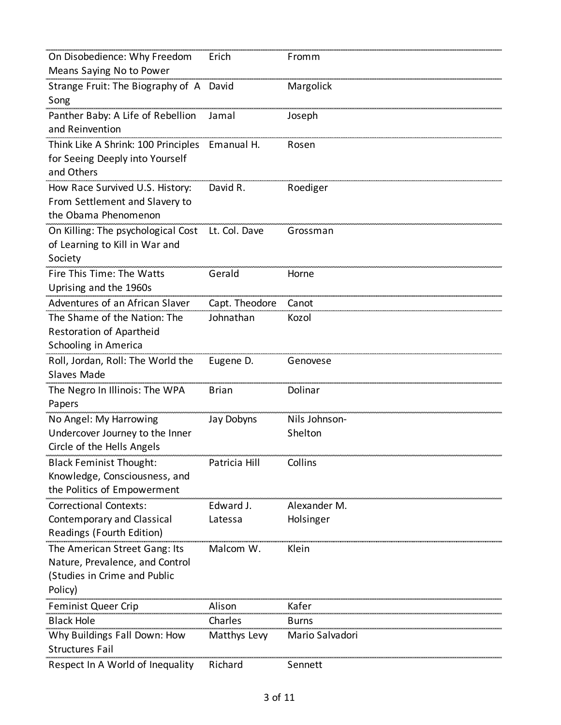| On Disobedience: Why Freedom            | Erich          | Fromm           |
|-----------------------------------------|----------------|-----------------|
| Means Saying No to Power                |                |                 |
| Strange Fruit: The Biography of A David |                | Margolick       |
| Song                                    |                |                 |
| Panther Baby: A Life of Rebellion       | Jamal          | Joseph          |
| and Reinvention                         |                |                 |
| Think Like A Shrink: 100 Principles     | Emanual H.     | Rosen           |
| for Seeing Deeply into Yourself         |                |                 |
| and Others                              |                |                 |
| How Race Survived U.S. History:         | David R.       | Roediger        |
| From Settlement and Slavery to          |                |                 |
| the Obama Phenomenon                    |                |                 |
| On Killing: The psychological Cost      | Lt. Col. Dave  | Grossman        |
| of Learning to Kill in War and          |                |                 |
| Society                                 |                |                 |
| Fire This Time: The Watts               | Gerald         | Horne           |
| Uprising and the 1960s                  |                |                 |
| Adventures of an African Slaver         | Capt. Theodore | Canot           |
| The Shame of the Nation: The            | Johnathan      | Kozol           |
| Restoration of Apartheid                |                |                 |
| Schooling in America                    |                |                 |
| Roll, Jordan, Roll: The World the       | Eugene D.      | Genovese        |
| <b>Slaves Made</b>                      |                |                 |
| The Negro In Illinois: The WPA          | Brian          | Dolinar         |
| Papers                                  |                |                 |
| No Angel: My Harrowing                  | Jay Dobyns     | Nils Johnson-   |
| Undercover Journey to the Inner         |                | Shelton         |
| Circle of the Hells Angels              |                |                 |
| <b>Black Feminist Thought:</b>          | Patricia Hill  | Collins         |
| Knowledge, Consciousness, and           |                |                 |
| the Politics of Empowerment             |                |                 |
| <b>Correctional Contexts:</b>           | Edward J.      | Alexander M.    |
| Contemporary and Classical              | Latessa        | Holsinger       |
| Readings (Fourth Edition)               |                |                 |
| The American Street Gang: Its           | Malcom W.      | Klein           |
| Nature, Prevalence, and Control         |                |                 |
| (Studies in Crime and Public            |                |                 |
| Policy)                                 |                |                 |
| <b>Feminist Queer Crip</b>              | Alison         | Kafer           |
| <b>Black Hole</b>                       | Charles        | Burns           |
| Why Buildings Fall Down: How            | Matthys Levy   | Mario Salvadori |
| <b>Structures Fail</b>                  |                |                 |
| Respect In A World of Inequality        | Richard        | Sennett         |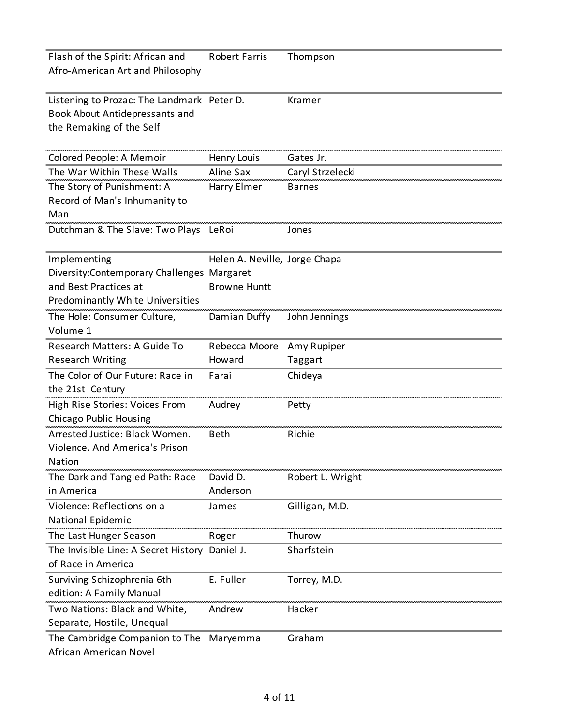| Flash of the Spirit: African and           | <b>Robert Farris</b>          | Thompson         |
|--------------------------------------------|-------------------------------|------------------|
| Afro-American Art and Philosophy           |                               |                  |
|                                            |                               |                  |
| Listening to Prozac: The Landmark Peter D. |                               | Kramer           |
| Book About Antidepressants and             |                               |                  |
| the Remaking of the Self                   |                               |                  |
|                                            |                               |                  |
| Colored People: A Memoir                   | Henry Louis                   | Gates Jr.        |
| The War Within These Walls                 | Aline Sax                     | Caryl Strzelecki |
| The Story of Punishment: A                 | Harry Elmer                   | <b>Barnes</b>    |
| Record of Man's Inhumanity to              |                               |                  |
| Man                                        |                               |                  |
| Dutchman & The Slave: Two Plays LeRoi      |                               | Jones            |
|                                            |                               |                  |
| Implementing                               | Helen A. Neville, Jorge Chapa |                  |
| Diversity:Contemporary Challenges Margaret |                               |                  |
| and Best Practices at                      | <b>Browne Huntt</b>           |                  |
| Predominantly White Universities           |                               |                  |
| The Hole: Consumer Culture,                | Damian Duffy                  | John Jennings    |
| Volume 1                                   |                               |                  |
| Research Matters: A Guide To               | Rebecca Moore                 | Amy Rupiper      |
| <b>Research Writing</b>                    | Howard                        | Taggart          |
| The Color of Our Future: Race in           | Farai                         | Chideya          |
| the 21st Century                           |                               |                  |
| High Rise Stories: Voices From             | Audrey                        | Petty            |
| Chicago Public Housing                     |                               |                  |
| Arrested Justice: Black Women.             | <b>Beth</b>                   | Richie           |
| Violence. And America's Prison             |                               |                  |
| Nation                                     |                               |                  |
| The Dark and Tangled Path: Race            | David D.                      | Robert L. Wright |
| in America                                 | Anderson                      |                  |
| Violence: Reflections on a                 | James                         | Gilligan, M.D.   |
| National Epidemic                          |                               |                  |
| The Last Hunger Season                     | Roger                         | Thurow           |
| The Invisible Line: A Secret History       | Daniel J                      | Sharfstein       |
| of Race in America                         |                               |                  |
| Surviving Schizophrenia 6th                | E. Fuller                     | Torrey, M.D.     |
| edition: A Family Manual                   |                               |                  |
| Two Nations: Black and White,              | Andrew                        | Hacker           |
| Separate, Hostile, Unequal                 |                               |                  |
| The Cambridge Companion to The             | Maryemma                      | Graham           |
| African American Novel                     |                               |                  |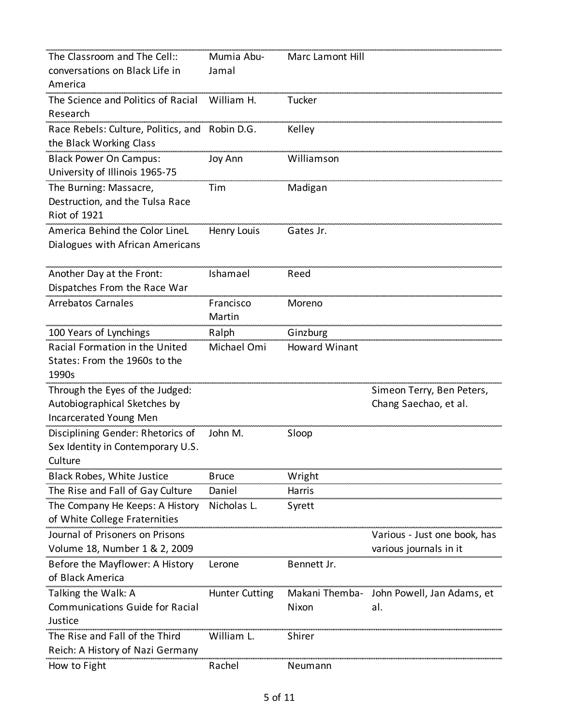| The Classroom and The Cell::           | Mumia Abu-            | <b>Marc Lamont Hill</b> |                              |
|----------------------------------------|-----------------------|-------------------------|------------------------------|
| conversations on Black Life in         | Jamal                 |                         |                              |
| America                                |                       |                         |                              |
| The Science and Politics of Racial     | William H.            | Tucker                  |                              |
| Research                               |                       |                         |                              |
| Race Rebels: Culture, Politics, and    | Robin D.G.            | Kelley                  |                              |
| the Black Working Class                |                       |                         |                              |
| <b>Black Power On Campus:</b>          | Joy Ann               | Williamson              |                              |
| University of Illinois 1965-75         |                       |                         |                              |
| The Burning: Massacre,                 | Tim                   | Madigan                 |                              |
| Destruction, and the Tulsa Race        |                       |                         |                              |
| <b>Riot of 1921</b>                    |                       |                         |                              |
| America Behind the Color LineL         | Henry Louis           | Gates Jr.               |                              |
| Dialogues with African Americans       |                       |                         |                              |
|                                        |                       |                         |                              |
| Another Day at the Front:              | Ishamael              | Reed                    |                              |
| Dispatches From the Race War           |                       |                         |                              |
| <b>Arrebatos Carnales</b>              | Francisco             | Moreno                  |                              |
|                                        | Martin                |                         |                              |
| 100 Years of Lynchings                 | Ralph                 | Ginzburg                |                              |
| Racial Formation in the United         | Michael Omi           | <b>Howard Winant</b>    |                              |
| States: From the 1960s to the          |                       |                         |                              |
| 1990s                                  |                       |                         |                              |
| Through the Eyes of the Judged:        |                       |                         | Simeon Terry, Ben Peters,    |
| Autobiographical Sketches by           |                       |                         | Chang Saechao, et al.        |
| Incarcerated Young Men                 |                       |                         |                              |
| Disciplining Gender: Rhetorics of      | John M.               | Sloop                   |                              |
| Sex Identity in Contemporary U.S.      |                       |                         |                              |
| Culture                                |                       |                         |                              |
| Black Robes, White Justice             | <b>Bruce</b>          | Wright                  |                              |
| The Rise and Fall of Gay Culture       | Daniel                | Harris                  |                              |
| The Company He Keeps: A History        | Nicholas L.           | Syrett                  |                              |
| of White College Fraternities          |                       |                         |                              |
| Journal of Prisoners on Prisons        |                       |                         | Various - Just one book, has |
| Volume 18, Number 1 & 2, 2009          |                       |                         | various journals in it       |
| Before the Mayflower: A History        | Lerone                | Bennett Jr.             |                              |
| of Black America                       |                       |                         |                              |
| Talking the Walk: A                    | <b>Hunter Cutting</b> | Makani Themba-          | John Powell, Jan Adams, et   |
| <b>Communications Guide for Racial</b> |                       | Nixon                   | al.                          |
| Justice                                |                       |                         |                              |
| The Rise and Fall of the Third         | William L.            | Shirer                  |                              |
| Reich: A History of Nazi Germany       |                       |                         |                              |
| How to Fight                           | Rachel                | Neumann                 |                              |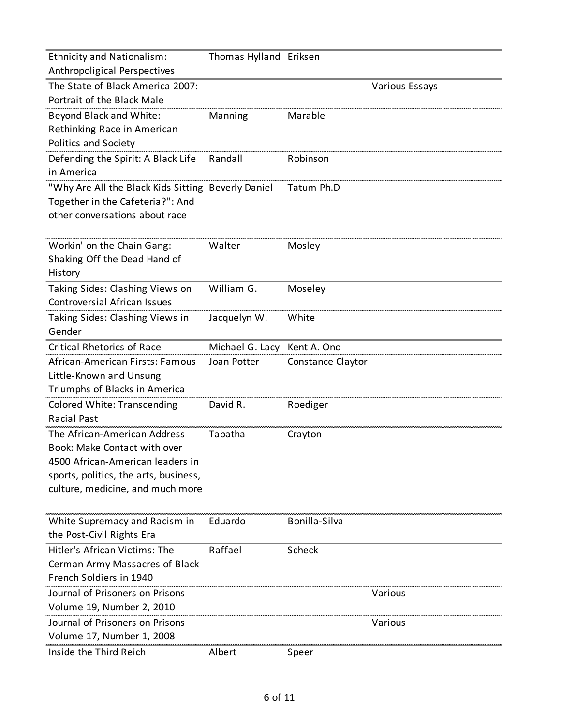| <b>Ethnicity and Nationalism:</b>                  | Thomas Hylland Eriksen      |                   |                       |
|----------------------------------------------------|-----------------------------|-------------------|-----------------------|
| Anthropoligical Perspectives                       |                             |                   |                       |
| The State of Black America 2007:                   |                             |                   | <b>Various Essays</b> |
| Portrait of the Black Male                         |                             |                   |                       |
| Beyond Black and White:                            | Manning                     | Marable           |                       |
| Rethinking Race in American                        |                             |                   |                       |
| <b>Politics and Society</b>                        |                             |                   |                       |
| Defending the Spirit: A Black Life                 | Randall                     | Robinson          |                       |
| in America                                         |                             |                   |                       |
| "Why Are All the Black Kids Sitting Beverly Daniel |                             | Tatum Ph.D        |                       |
| Together in the Cafeteria?": And                   |                             |                   |                       |
| other conversations about race                     |                             |                   |                       |
|                                                    |                             |                   |                       |
| Workin' on the Chain Gang:                         | Walter                      | Mosley            |                       |
| Shaking Off the Dead Hand of                       |                             |                   |                       |
| History                                            |                             |                   |                       |
| Taking Sides: Clashing Views on                    | William G.                  | Moseley           |                       |
| <b>Controversial African Issues</b>                |                             |                   |                       |
| Taking Sides: Clashing Views in                    | Jacquelyn W.                | White             |                       |
| Gender                                             |                             |                   |                       |
| <b>Critical Rhetorics of Race</b>                  | Michael G. Lacy Kent A. Ono |                   |                       |
| African-American Firsts: Famous                    | Joan Potter                 | Constance Claytor |                       |
| Little-Known and Unsung                            |                             |                   |                       |
| Triumphs of Blacks in America                      |                             |                   |                       |
| <b>Colored White: Transcending</b>                 | David R.                    | Roediger          |                       |
| <b>Racial Past</b>                                 |                             |                   |                       |
| The African-American Address                       | Tabatha                     | Crayton           |                       |
| Book: Make Contact with over                       |                             |                   |                       |
| 4500 African-American leaders in                   |                             |                   |                       |
| sports, politics, the arts, business,              |                             |                   |                       |
| culture, medicine, and much more                   |                             |                   |                       |
|                                                    |                             |                   |                       |
| White Supremacy and Racism in                      | Eduardo                     | Bonilla-Silva     |                       |
| the Post-Civil Rights Era                          |                             |                   |                       |
| Hitler's African Victims: The                      | Raffael                     | Scheck            |                       |
| Cerman Army Massacres of Black                     |                             |                   |                       |
| French Soldiers in 1940                            |                             |                   |                       |
| Journal of Prisoners on Prisons                    |                             |                   | Various               |
| Volume 19, Number 2, 2010                          |                             |                   |                       |
| Journal of Prisoners on Prisons                    |                             |                   | Various               |
| Volume 17, Number 1, 2008                          |                             |                   |                       |
| Inside the Third Reich                             | Albert                      | Speer             |                       |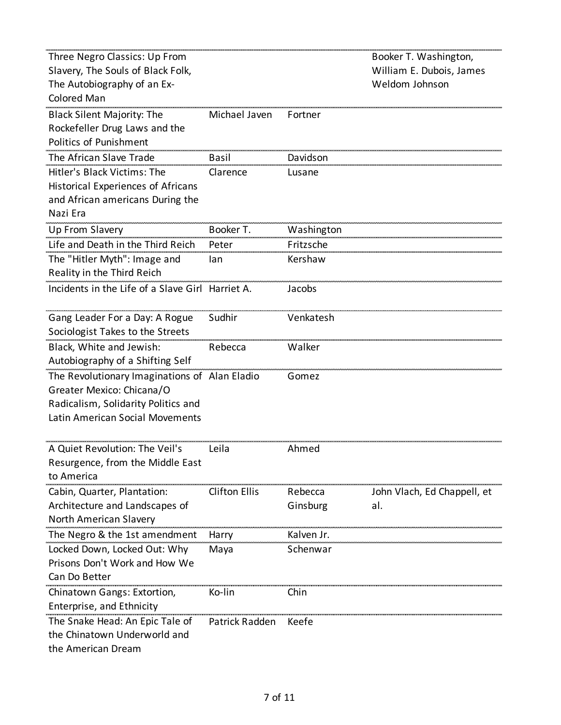| Three Negro Classics: Up From<br>Slavery, The Souls of Black Folk,<br>The Autobiography of an Ex-<br>Colored Man                                     |                      |                     | Booker T. Washington,<br>William E. Dubois, James<br>Weldom Johnson |
|------------------------------------------------------------------------------------------------------------------------------------------------------|----------------------|---------------------|---------------------------------------------------------------------|
| <b>Black Silent Majority: The</b><br>Rockefeller Drug Laws and the<br>Politics of Punishment                                                         | Michael Javen        | Fortner             |                                                                     |
| The African Slave Trade                                                                                                                              | Basil                | Davidson            |                                                                     |
| Hitler's Black Victims: The<br>Historical Experiences of Africans<br>and African americans During the<br>Nazi Era                                    | Clarence             | Lusane              |                                                                     |
| Up From Slavery                                                                                                                                      | Booker T.            | Washington          |                                                                     |
| Life and Death in the Third Reich                                                                                                                    | Peter                | Fritzsche           |                                                                     |
| The "Hitler Myth": Image and<br>Reality in the Third Reich                                                                                           | lan                  | Kershaw             |                                                                     |
| Incidents in the Life of a Slave Girl Harriet A.                                                                                                     |                      | Jacobs              |                                                                     |
| Gang Leader For a Day: A Rogue<br>Sociologist Takes to the Streets                                                                                   | Sudhir               | Venkatesh           |                                                                     |
| Black, White and Jewish:<br>Autobiography of a Shifting Self                                                                                         | Rebecca              | Walker              |                                                                     |
| The Revolutionary Imaginations of Alan Eladio<br>Greater Mexico: Chicana/O<br>Radicalism, Solidarity Politics and<br>Latin American Social Movements |                      | Gomez               |                                                                     |
| A Quiet Revolution: The Veil's<br>Resurgence, from the Middle East<br>to America                                                                     | Leila                | Ahmed               |                                                                     |
| Cabin, Quarter, Plantation:<br>Architecture and Landscapes of<br>North American Slavery                                                              | <b>Clifton Ellis</b> | Rebecca<br>Ginsburg | John Vlach, Ed Chappell, et<br>al.                                  |
| The Negro & the 1st amendment                                                                                                                        | Harry                | Kalven Jr.          |                                                                     |
| Locked Down, Locked Out: Why<br>Prisons Don't Work and How We<br>Can Do Better                                                                       | Maya                 | Schenwar            |                                                                     |
| Chinatown Gangs: Extortion,<br>Enterprise, and Ethnicity                                                                                             | Ko-lin               | Chin                |                                                                     |
| The Snake Head: An Epic Tale of<br>the Chinatown Underworld and<br>the American Dream                                                                | Patrick Radden       | Keefe               |                                                                     |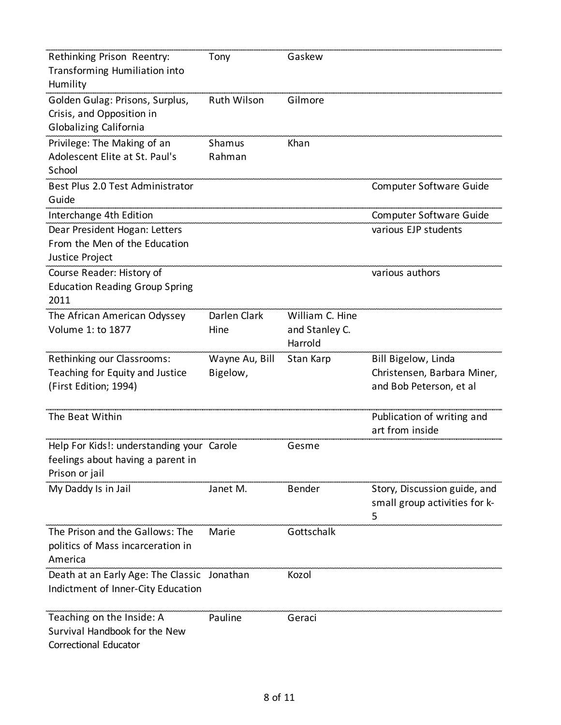| Rethinking Prison Reentry:                  | Tony               | Gaskew          |                               |
|---------------------------------------------|--------------------|-----------------|-------------------------------|
| Transforming Humiliation into               |                    |                 |                               |
| Humility                                    |                    |                 |                               |
| Golden Gulag: Prisons, Surplus,             | <b>Ruth Wilson</b> | Gilmore         |                               |
| Crisis, and Opposition in                   |                    |                 |                               |
| Globalizing California                      |                    |                 |                               |
| Privilege: The Making of an                 | Shamus             | Khan            |                               |
| Adolescent Elite at St. Paul's              | Rahman             |                 |                               |
| School                                      |                    |                 |                               |
| Best Plus 2.0 Test Administrator            |                    |                 | Computer Software Guide       |
| Guide                                       |                    |                 |                               |
| Interchange 4th Edition                     |                    |                 | Computer Software Guide       |
| Dear President Hogan: Letters               |                    |                 | various EJP students          |
| From the Men of the Education               |                    |                 |                               |
| Justice Project                             |                    |                 |                               |
| Course Reader: History of                   |                    |                 | various authors               |
| <b>Education Reading Group Spring</b>       |                    |                 |                               |
| 2011                                        |                    |                 |                               |
| The African American Odyssey                | Darlen Clark       | William C. Hine |                               |
| Volume 1: to 1877                           | Hine               | and Stanley C.  |                               |
|                                             |                    | Harrold         |                               |
| Rethinking our Classrooms:                  | Wayne Au, Bill     | Stan Karp       | Bill Bigelow, Linda           |
| Teaching for Equity and Justice             | Bigelow,           |                 | Christensen, Barbara Miner,   |
| (First Edition; 1994)                       |                    |                 | and Bob Peterson, et al       |
|                                             |                    |                 |                               |
| The Beat Within                             |                    |                 | Publication of writing and    |
|                                             |                    |                 | art from inside               |
|                                             |                    |                 |                               |
| Help For Kids!: understanding your Carole   |                    | Gesme           |                               |
| feelings about having a parent in           |                    |                 |                               |
| Prison or jail                              |                    |                 |                               |
| My Daddy Is in Jail                         | Janet M.           | <b>Bender</b>   | Story, Discussion guide, and  |
|                                             |                    |                 |                               |
|                                             |                    |                 | small group activities for k- |
|                                             |                    |                 | 5                             |
| The Prison and the Gallows: The             | Marie              | Gottschalk      |                               |
| politics of Mass incarceration in           |                    |                 |                               |
| America                                     |                    |                 |                               |
| Death at an Early Age: The Classic Jonathan |                    | Kozol           |                               |
| Indictment of Inner-City Education          |                    |                 |                               |
| Teaching on the Inside: A                   | Pauline            | Geraci          |                               |
| Survival Handbook for the New               |                    |                 |                               |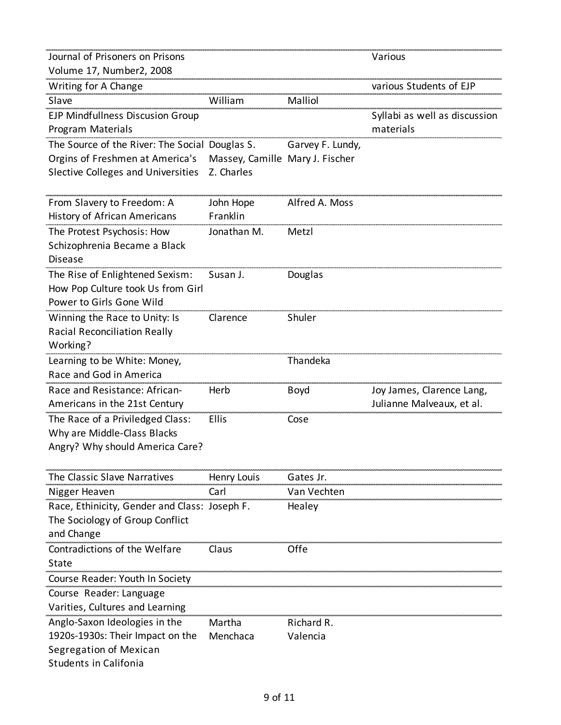| Journal of Prisoners on Prisons                |                                 |                  | Various                       |
|------------------------------------------------|---------------------------------|------------------|-------------------------------|
| Volume 17, Number2, 2008                       |                                 |                  |                               |
| Writing for A Change                           |                                 |                  | various Students of EJP       |
| Slave                                          | William                         | Malliol          |                               |
| EJP Mindfullness Discusion Group               |                                 |                  | Syllabi as well as discussion |
| Program Materials                              |                                 |                  | materials                     |
| The Source of the River: The Social Douglas S. |                                 | Garvey F. Lundy, |                               |
| Orgins of Freshmen at America's                | Massey, Camille Mary J. Fischer |                  |                               |
| Slective Colleges and Universities             | Z. Charles                      |                  |                               |
|                                                |                                 |                  |                               |
| From Slavery to Freedom: A                     | John Hope                       | Alfred A. Moss   |                               |
| History of African Americans                   | Franklin                        |                  |                               |
| The Protest Psychosis: How                     | Jonathan M.                     | Metzl            |                               |
| Schizophrenia Became a Black                   |                                 |                  |                               |
| <b>Disease</b>                                 |                                 |                  |                               |
| The Rise of Enlightened Sexism:                | Susan J.                        | Douglas          |                               |
| How Pop Culture took Us from Girl              |                                 |                  |                               |
| Power to Girls Gone Wild                       |                                 |                  |                               |
| Winning the Race to Unity: Is                  | Clarence                        | Shuler           |                               |
| <b>Racial Reconciliation Really</b>            |                                 |                  |                               |
| Working?                                       |                                 |                  |                               |
| Learning to be White: Money,                   |                                 | Thandeka         |                               |
| Race and God in America                        |                                 |                  |                               |
| Race and Resistance: African-                  | Herb                            | <b>Boyd</b>      | Joy James, Clarence Lang,     |
| Americans in the 21st Century                  |                                 |                  | Julianne Malveaux, et al.     |
| The Race of a Priviledged Class:               | Ellis                           | Cose             |                               |
| Why are Middle-Class Blacks                    |                                 |                  |                               |
| Angry? Why should America Care?                |                                 |                  |                               |
|                                                |                                 |                  |                               |
| The Classic Slave Narratives                   | Henry Louis                     | Gates Jr.        |                               |
| Nigger Heaven                                  | Carl                            | Van Vechten      |                               |
| Race, Ethinicity, Gender and Class: Joseph F.  |                                 | Healey           |                               |
| The Sociology of Group Conflict                |                                 |                  |                               |
| and Change                                     |                                 |                  |                               |
| Contradictions of the Welfare                  | Claus                           | Offe             |                               |
| State                                          |                                 |                  |                               |
| Course Reader: Youth In Society                |                                 |                  |                               |
| Course Reader: Language                        |                                 |                  |                               |
| Varities, Cultures and Learning                |                                 |                  |                               |
| Anglo-Saxon Ideologies in the                  |                                 |                  |                               |
|                                                | Martha                          | Richard R.       |                               |
| 1920s-1930s: Their Impact on the               | Menchaca                        | Valencia         |                               |
| Segregation of Mexican                         |                                 |                  |                               |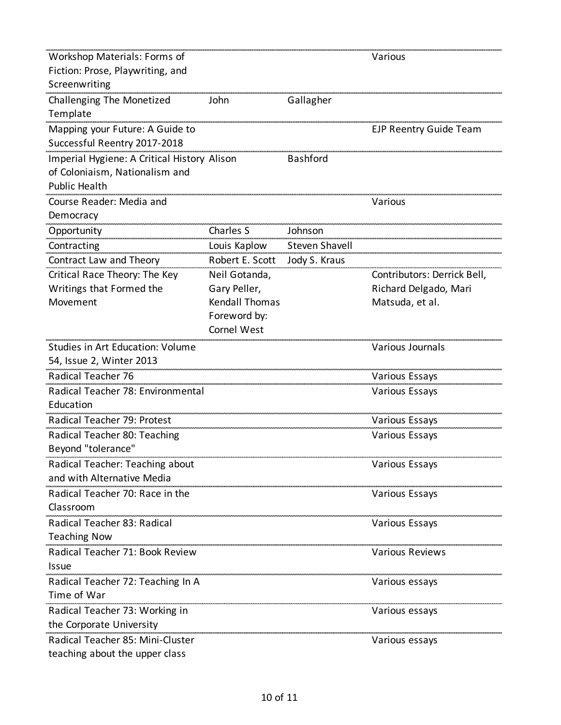| Workshop Materials: Forms of                |                       |                       | Various                     |
|---------------------------------------------|-----------------------|-----------------------|-----------------------------|
| Fiction: Prose, Playwriting, and            |                       |                       |                             |
| Screenwriting                               |                       |                       |                             |
| Challenging The Monetized                   | John                  | Gallagher             |                             |
| Template                                    |                       |                       |                             |
| Mapping your Future: A Guide to             |                       |                       | EJP Reentry Guide Team      |
| Successful Reentry 2017-2018                |                       |                       |                             |
| Imperial Hygiene: A Critical History Alison |                       | <b>Bashford</b>       |                             |
| of Coloniaism, Nationalism and              |                       |                       |                             |
| <b>Public Health</b>                        |                       |                       |                             |
| Course Reader: Media and                    |                       |                       | Various                     |
| Democracy                                   |                       |                       |                             |
| Opportunity                                 | Charles S             | Johnson               |                             |
| Contracting                                 | Louis Kaplow          | <b>Steven Shavell</b> |                             |
| Contract Law and Theory                     | Robert E. Scott       | Jody S. Kraus         |                             |
| Critical Race Theory: The Key               | Neil Gotanda,         |                       | Contributors: Derrick Bell, |
| Writings that Formed the                    | Gary Peller,          |                       | Richard Delgado, Mari       |
| Movement                                    | <b>Kendall Thomas</b> |                       | Matsuda, et al.             |
|                                             | Foreword by:          |                       |                             |
|                                             | Cornel West           |                       |                             |
| Studies in Art Education: Volume            |                       |                       | <b>Various Journals</b>     |
| 54, Issue 2, Winter 2013                    |                       |                       |                             |
| Radical Teacher 76                          |                       |                       | <b>Various Essays</b>       |
| Radical Teacher 78: Environmental           |                       |                       | <b>Various Essays</b>       |
| Education                                   |                       |                       |                             |
| Radical Teacher 79: Protest                 |                       |                       | <b>Various Essays</b>       |
| Radical Teacher 80: Teaching                |                       |                       | Various Essays              |
| Beyond "tolerance"                          |                       |                       |                             |
| Radical Teacher: Teaching about             |                       |                       | Various Essays              |
| and with Alternative Media                  |                       |                       |                             |
| Radical Teacher 70: Race in the             |                       |                       | Various Essays              |
| Classroom                                   |                       |                       |                             |
| Radical Teacher 83: Radical                 |                       |                       | Various Essays              |
| <b>Teaching Now</b>                         |                       |                       |                             |
| Radical Teacher 71: Book Review             |                       |                       | <b>Various Reviews</b>      |
| Issue                                       |                       |                       |                             |
| Radical Teacher 72: Teaching In A           |                       |                       | Various essays              |
| Time of War                                 |                       |                       |                             |
| Radical Teacher 73: Working in              |                       |                       | Various essays              |
| the Corporate University                    |                       |                       |                             |
| Radical Teacher 85: Mini-Cluster            |                       |                       | Various essays              |
| teaching about the upper class              |                       |                       |                             |